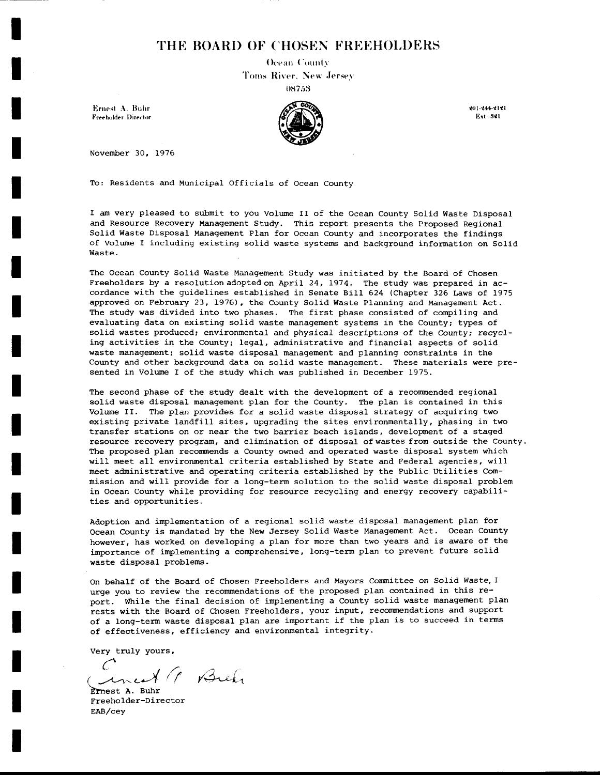# THE BOARD OF CHOSEN FREEHOLDERS

Ocean County Toms River, New Jersey 08753

Ernest A. Buhr **Freeholder Director** 



201-244-2121 Ext. 321

November 30, 1976

To: Residents and Municipal Officials of Ocean County

I am very pleased to submit to you Volume II of the Ocean County Solid Waste Disposal and Resource Recovery Management Study. This report presents the Proposed Regional Solid Waste Disposal Management Plan for Ocean County and incorporates the findings of Volume I including existing solid waste systems and background information on Solid Waste.

The Ocean County Solid Waste Management Study was initiated by the Board of Chosen Freeholders by a resolution adopted on April 24, 1974. The study was prepared in accordance with the guidelines established in Senate Bill 624 (Chapter 326 Laws of 1975 approved on February 23, 1976), the County Solid Waste Planning and Management Act. The study was divided into two phases. The first phase consisted of compiling and evaluating data on existing solid waste management systems in the County; types of solid wastes produced; environmental and physical descriptions of the County; recycling activities in the County; legal, administrative and financial aspects of solid waste management; solid waste disposal management and planning constraints in the County and other background data on solid waste management. These materials were presented in Volume I of the study which was published in December 1975.

The second phase of the study dealt with the development of a recommended regional solid waste disposal management plan for the County. The plan is contained in this Volume II. The plan provides for a solid waste disposal strategy of acquiring two existing private landfill sites, upgrading the sites environmentally, phasing in two transfer stations on or near the two barrier beach islands, development of a staged resource recovery program, and elimination of disposal of wastes from outside the County. The proposed plan recommends a County owned and operated waste disposal system which will meet all environmental criteria established by State and Federal agencies, will meet administrative and operating criteria established by the Public Utilities Commission and will provide for a long-term solution to the solid waste disposal problem in Ocean County while providing for resource recycling and energy recovery capabilities and opportunities.

Adoption and implementation of a regional solid waste disposal management plan for Ocean County is mandated by the New Jersey Solid Waste Management Act. Ocean County however, has worked on developing a plan for more than two years and is aware of the importance of implementing a comprehensive, long-term plan to prevent future solid waste disposal problems.

On behalf of the Board of Chosen Freeholders and Mayors Committee on Solid Waste, I urge you to review the recommendations of the proposed plan contained in this report. While the final decision of implementing a County solid waste management plan rests with the Board of Chosen Freeholders, your input, recommendations and support of a long-term waste disposal plan are important if the plan is to succeed in terms of effectiveness, efficiency and environmental integrity.

Very truly yours,

 $\mathcal{C}^{\bullet}$ Cincent P Brek

Ernest A. Buhr Freeholder-Director EAB/cey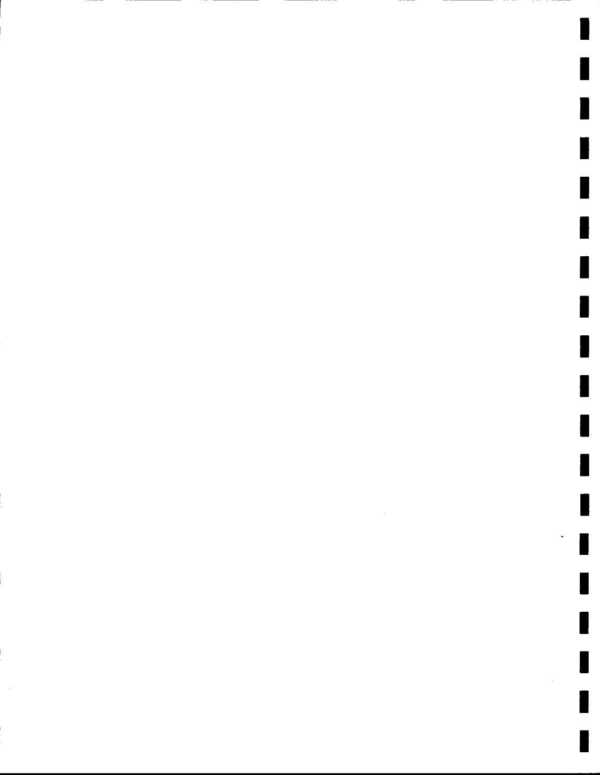I I 1 l  $\hat{\boldsymbol{\beta}}$ I

I

I

I

I

I

I

ļ

I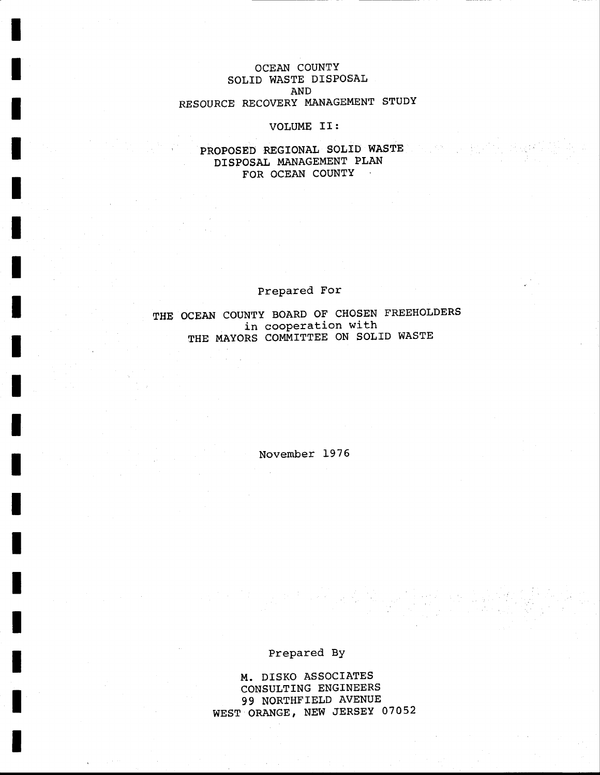### OCEAN COUNTY SOLID WASTE DISPOSAL AND RESOURCE RECOVERY MANAGEMENT STUDY

### VOLUME II:

# PROPOSED REGIONAL SOLID WASTE DISPOSAL MANAGEMENT PLAN FOR OCEAN COUNTY

### PrePared For

# THE OCEAN COUNTY BOARD OF CHOSEN FREEHOLDERS in cooperation with THE MAYORS COMMITTEE ON SOLID WASTE

November L976

### Prepared By

M. DISKO ASSOCIATES CONSULTING ENGINEERS 99 NORTHFIELD AVENUE WEST ORANGE, NEW JERSEY 07052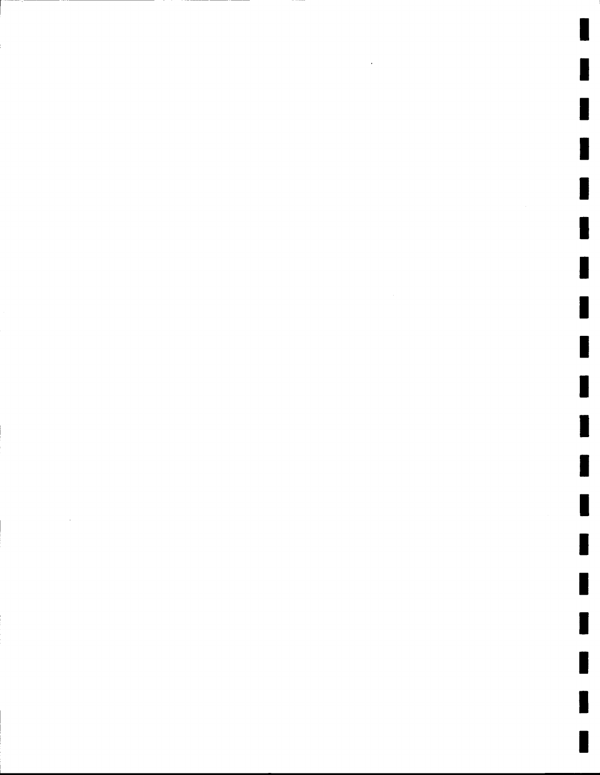I I I I I ł I ł I ł I ļ I I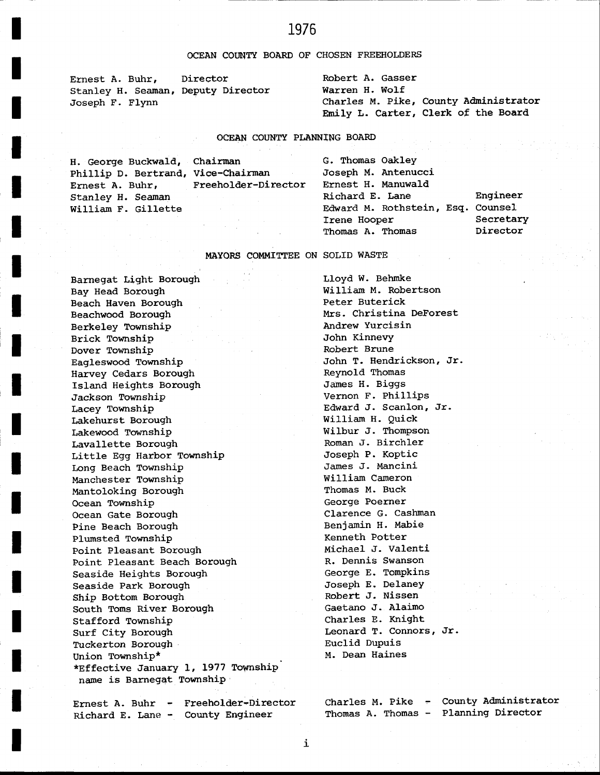#### OCEAN COUNTY BOARD OF CHOSEN FREEHOLDERS

Ernest A. Buhr, Director Stanley H. Seaman, Deputy Director Joseph F. Flynn

Robert A. Gasser Warren H. Wolf Charles M. Pike, County Administrator Emily L. Carter, Clerk of the Board

#### OCEAN COUNTY PLANNING BOARD

H. George Buckwald, Chairman Phillip D. Bertrand, Vice-Chairman Freeholder-Director Ernest A. Buhr, Stanley H. Seaman William F. Gillette

G. Thomas Oakley Joseph M. Antenucci Ernest H. Manuwald Richard E. Lane Edward M. Rothstein, Esq. Counsel Irene Hooper Thomas A. Thomas

Engineer Secretary Director

#### MAYORS COMMITTEE ON SOLID WASTE

Barnegat Light Borough Bay Head Borough Beach Haven Borough Beachwood Borough Berkeley Township Brick Township Dover Township Eagleswood Township Harvey Cedars Borough Island Heights Borough Jackson Township Lacey Township Lakehurst Borough Lakewood Township Lavallette Borough Little Egg Harbor Township Long Beach Township Manchester Township Mantoloking Borough Ocean Township Ocean Gate Borough Pine Beach Borough Plumsted Township Point Pleasant Borough Point Pleasant Beach Borough Seaside Heights Borough Seaside Park Borough Ship Bottom Borough South Toms River Borough Stafford Township Surf City Borough Tuckerton Borough Union Township\* \*Effective January 1, 1977 Township name is Barnegat Township

Ernest A. Buhr - Freeholder-Director Richard E. Lane - County Engineer

Lloyd W. Behmke William M. Robertson Peter Buterick Mrs. Christina DeForest Andrew Yurcisin John Kinnevy Robert Brune John T. Hendrickson, Jr. Reynold Thomas James H. Biggs Vernon F. Phillips Edward J. Scanlon, Jr. William H. Quick Wilbur J. Thompson Roman J. Birchler Joseph P. Koptic James J. Mancini William Cameron Thomas M. Buck George Poerner Clarence G. Cashman Beniamin H. Mabie Kenneth Potter Michael J. Valenti R. Dennis Swanson George E. Tompkins Joseph E. Delaney Robert J. Nissen Gaetano J. Alaimo Charles E. Knight Leonard T. Connors, Jr. Euclid Dupuis M. Dean Haines

Thomas A. Thomas - Planning Director

Charles M. Pike - County Administrator

 $\mathbf{i}$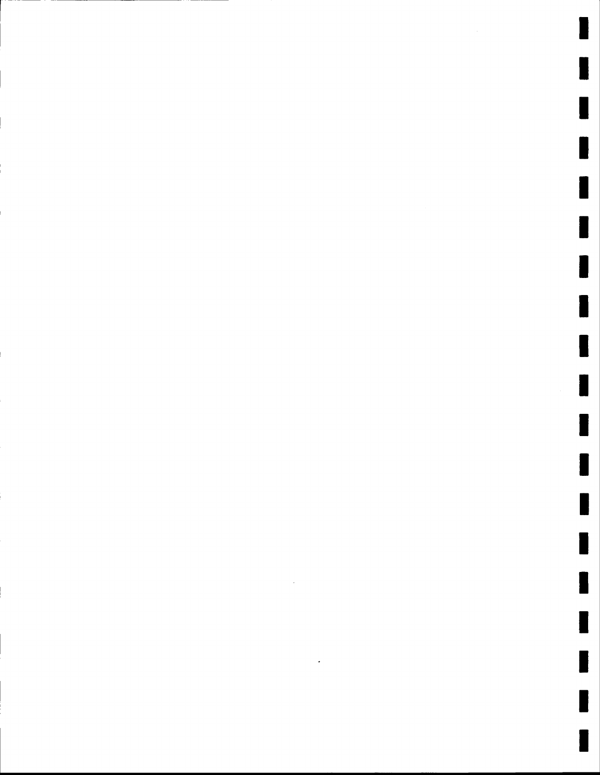$\hat{\mathcal{A}}$ 

 $\hat{\boldsymbol{\gamma}}$ 

 $\ddot{\phantom{0}}$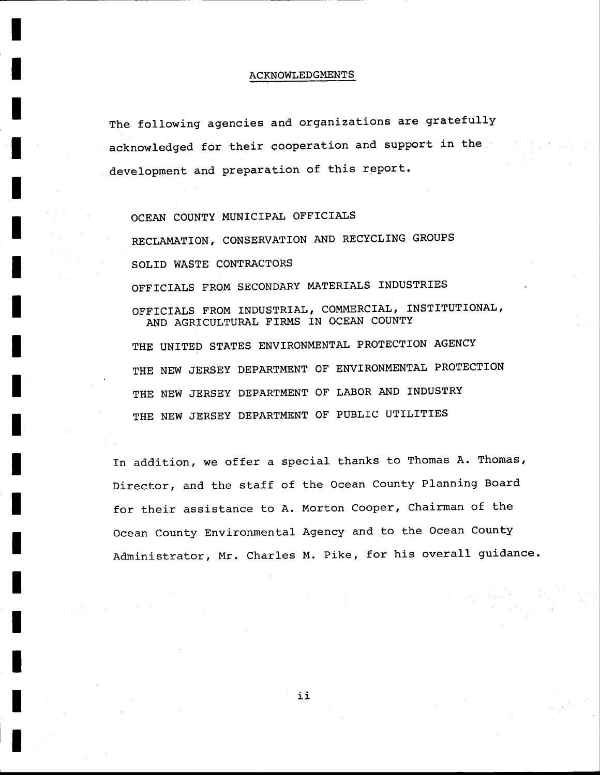#### ACKNOWLEDGMENTS

I

I

I

I

I

I

I

t

I

t

I

I

I

I

I

I

I

I

I

The following agencies and organizations are gratefully acknowledged for their cooperation and support in the development and preparation of this report.

OCEAN COUNTY MUNICIPAL OFFICIALS RECLAMATION, CONSERVATION AND RECYCLING GROUPS SOLID WASTE CONTRACTORS OFFICIALS FROM SECONDARY MATERIALS INDUSTRIES OFFICIALS FROM INDUSTRIAL, COMMERCIAL, INSTITUTIONAL, AND AGRICULTURAL FIRMS IN OCEAN COUNTY THE UNITED STATES ENVIRONMENTAL PROTECTION AGENCY THE NEW JERSEY DEPARTMENT OF ENVIRONMENTAL PROTECTION THE NEW JERSEY DEPARTMENT OF LABOR AND INDUSTRY THE NEW JERSEY DEPARTMENT OF PUBLIC UTILITIES

In addition, we offer a special thanks to Thomas A. Thomas, Director, and the staff of the Ocean County Planning Board for their assistance to A. Morton Cooper, Chairman of the Ocean County Environmental Agency and to the Ocean County Administrator, Mr. Charles M. Pike, fot his overall guidance.

ii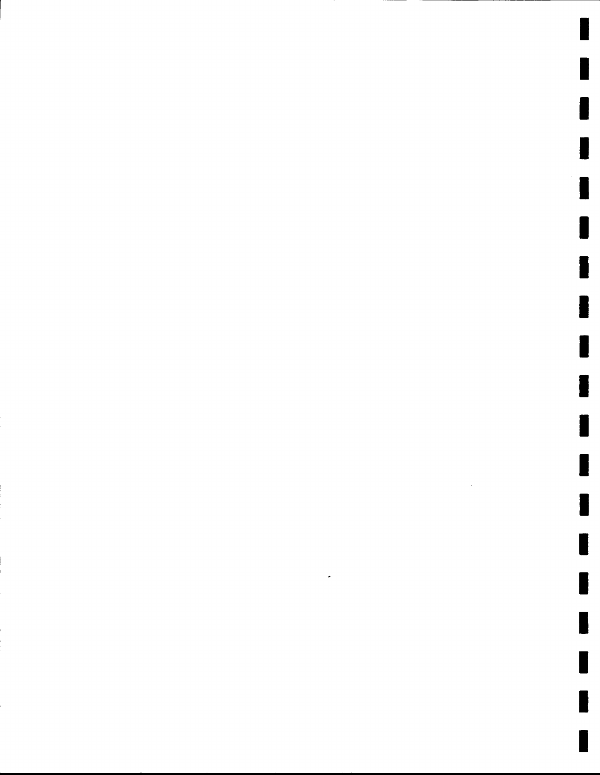I I I I J ı I I ı  $\cdot$ I  $\ddot{\phantom{0}}$ l I

۰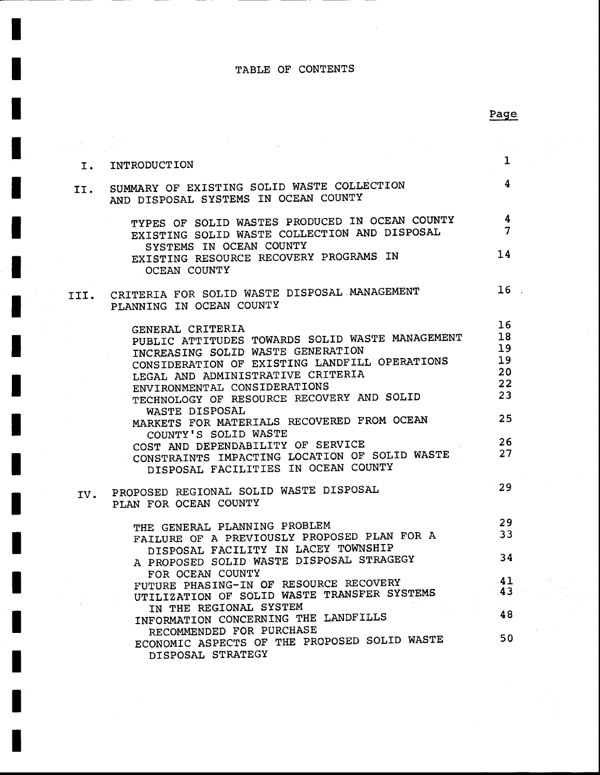# TABLE OF CONTENTS

# Page

| I.,  | INTRODUCTION                                                                                                                | ı                       |
|------|-----------------------------------------------------------------------------------------------------------------------------|-------------------------|
| II.  | SUMMARY OF EXISTING SOLID WASTE COLLECTION<br>AND DISPOSAL SYSTEMS IN OCEAN COUNTY                                          | $\overline{\mathbf{4}}$ |
|      | TYPES OF SOLID WASTES PRODUCED IN OCEAN COUNTY 4<br>EXISTING SOLID WASTE COLLECTION AND DISPOSAL<br>SYSTEMS IN OCEAN COUNTY | $\overline{7}$          |
|      | EXISTING RESOURCE RECOVERY PROGRAMS IN<br>OCEAN COUNTY                                                                      | 14                      |
| III. | CRITERIA FOR SOLID WASTE DISPOSAL MANAGEMENT<br>PLANNING IN OCEAN COUNTY                                                    | 16                      |
|      |                                                                                                                             | 16                      |
|      | GENERAL CRITERIA<br>PUBLIC ATTITUDES TOWARDS SOLID WASTE MANAGEMENT                                                         | 18                      |
|      | INCREASING SOLID WASTE GENERATION                                                                                           | 19                      |
|      | CONSIDERATION OF EXISTING LANDFILL OPERATIONS                                                                               | 19                      |
|      | LEGAL AND ADMINISTRATIVE CRITERIA                                                                                           | 20                      |
|      | ENVIRONMENTAL CONSIDERATIONS                                                                                                | 22                      |
|      | TECHNOLOGY OF RESOURCE RECOVERY AND SOLID<br>WASTE DISPOSAL                                                                 | 23                      |
|      | MARKETS FOR MATERIALS RECOVERED FROM OCEAN<br>COUNTY'S SOLID WASTE                                                          | 25                      |
|      | COST AND DEPENDABILITY OF SERVICE                                                                                           | 26                      |
|      | CONSTRAINTS IMPACTING LOCATION OF SOLID WASTE<br>DISPOSAL FACILITIES IN OCEAN COUNTY                                        | 27                      |
| IV.  | PROPOSED REGIONAL SOLID WASTE DISPOSAL                                                                                      | 29                      |
|      | PLAN FOR OCEAN COUNTY                                                                                                       |                         |
|      |                                                                                                                             | 29                      |
|      | THE GENERAL PLANNING PROBLEM<br>FAILURE OF A PREVIOUSLY PROPOSED PLAN FOR A                                                 | 33                      |
|      | DISPOSAL FACILITY IN LACEY TOWNSHIP                                                                                         |                         |
|      | A PROPOSED SOLID WASTE DISPOSAL STRAGEGY                                                                                    | 34                      |
|      | FOR OCEAN COUNTY                                                                                                            |                         |
|      | FUTURE PHASING-IN OF RESOURCE RECOVERY                                                                                      | 41                      |
|      | UTILIZATION OF SOLID WASTE TRANSFER SYSTEMS                                                                                 | $-43$                   |
|      | IN THE REGIONAL SYSTEM                                                                                                      | 48                      |
|      | INFORMATION CONCERNING THE LANDFILLS                                                                                        |                         |
|      | RECOMMENDED FOR PURCHASE                                                                                                    | 50                      |
|      | ECONOMIC ASPECTS OF THE PROPOSED SOLID WASTE<br>DISPOSAL STRATEGY                                                           |                         |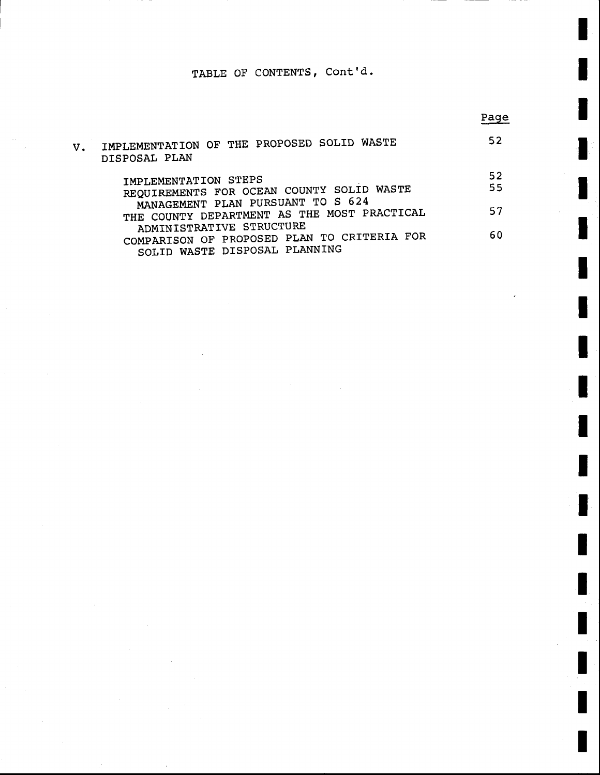# TABLE OF CONTENTS, Cont'd.

|    |                                                                                                          | Page     |
|----|----------------------------------------------------------------------------------------------------------|----------|
| v. | IMPLEMENTATION OF THE PROPOSED SOLID WASTE<br>DISPOSAL PLAN                                              | 52       |
|    | IMPLEMENTATION STEPS<br>REQUIREMENTS FOR OCEAN COUNTY SOLID WASTE                                        | 52<br>55 |
|    | MANAGEMENT PLAN PURSUANT TO S 624<br>THE COUNTY DEPARTMENT AS THE MOST PRACTICAL                         | 57       |
|    | ADMINISTRATIVE STRUCTURE<br>COMPARISON OF PROPOSED PLAN TO CRITERIA FOR<br>SOLID WASTE DISPOSAL PLANNING | 60       |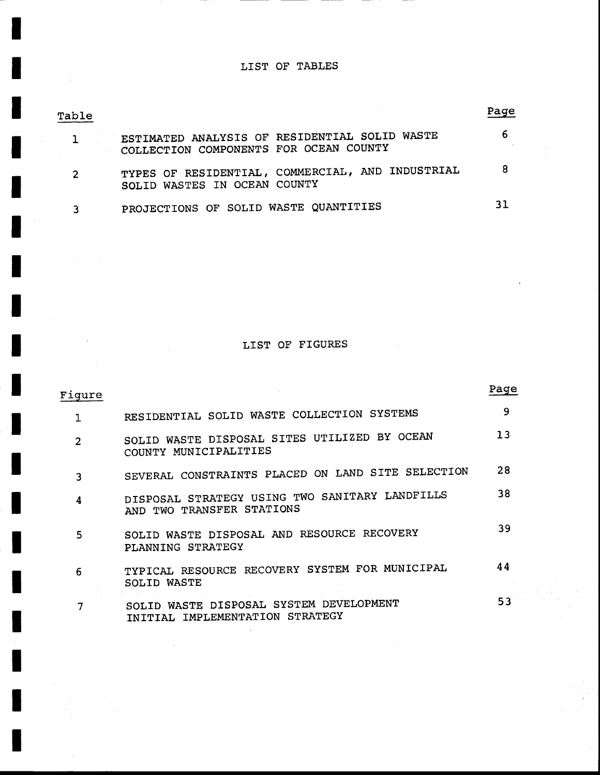# LIST OF TABLES

| Table |                                                                                         | Page |
|-------|-----------------------------------------------------------------------------------------|------|
|       | ESTIMATED ANALYSIS OF RESIDENTIAL SOLID WASTE<br>COLLECTION COMPONENTS FOR OCEAN COUNTY | 6    |
|       | TYPES OF RESIDENTIAL, COMMERCIAL, AND INDUSTRIAL<br>SOLID WASTES IN OCEAN COUNTY        | 8    |
|       | PROJECTIONS OF SOLID WASTE QUANTITIES                                                   | 31   |

I

I

t

I

# LIST OF FIGURES

| Figure |                                                                                  | Page |
|--------|----------------------------------------------------------------------------------|------|
| 1      | RESIDENTIAL SOLID WASTE COLLECTION SYSTEMS                                       | 9    |
| 2      | SOLID WASTE DISPOSAL SITES UTILIZED BY OCEAN<br>COUNTY MUNICIPALITIES            | 13   |
| 3      | SEVERAL CONSTRAINTS PLACED ON LAND SITE SELECTION                                | 28   |
| 4      | DISPOSAL STRATEGY USING TWO SANITARY LANDFILLS<br>AND TWO TRANSFER STATIONS      | 38   |
| 5      | SOLID WASTE DISPOSAL AND RESOURCE RECOVERY<br>PLANNING STRATEGY                  | 39   |
| 6      | TYPICAL RESOURCE RECOVERY SYSTEM FOR MUNICIPAL<br>SOLID WASTE                    | 44   |
|        | WASTE DISPOSAL SYSTEM DEVELOPMENT<br>SOLID<br>IMPLEMENTATION STRATEGY<br>TNITIAL | 53   |

 $\mathcal{L}$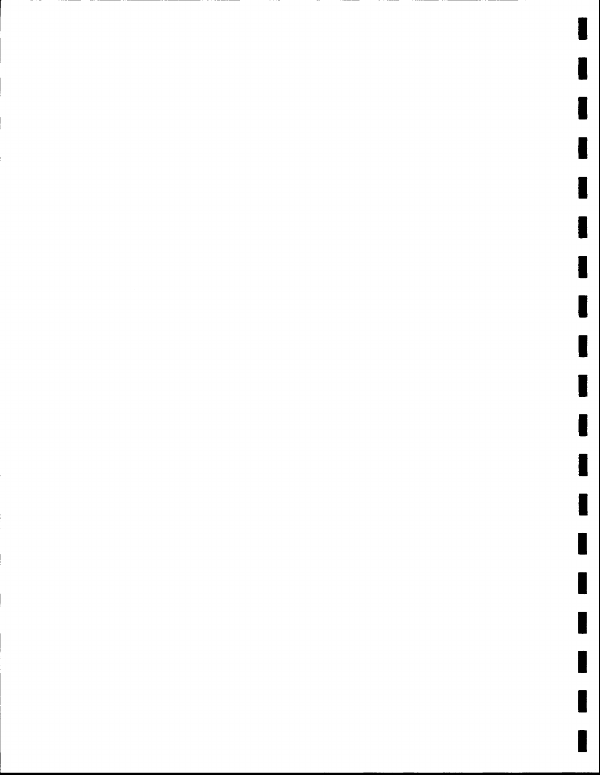J l I l ł I I I I I ı I I  $\cdot$ ł

۰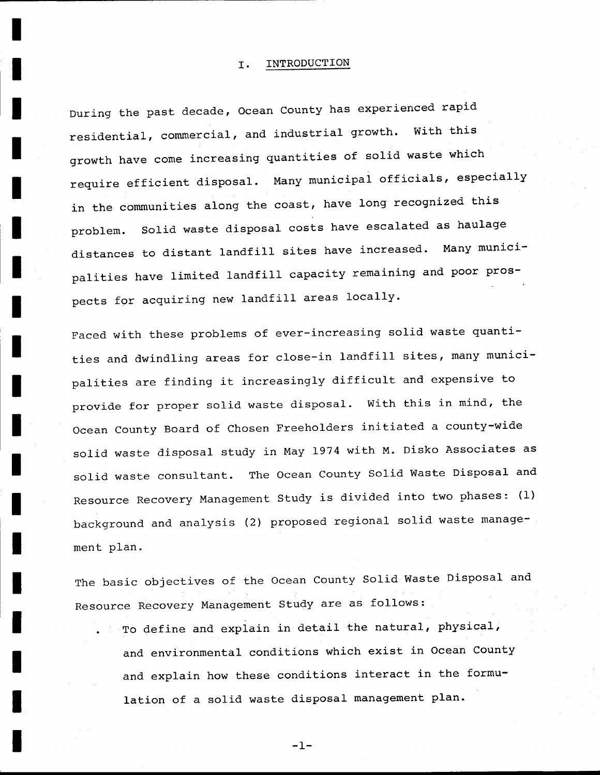#### I. INTRODUCTION

I

I

I

I

I

I

I

I

I

I

I

t

I

I

I

I

I

I

t

During the past decade, ocean county has experienced rapid residential, commercial, and industrial growth. With this growth have come increasing quantities of solid waste which require efficient disposat. Many municipal officials, especially in the communities along the coast, have long recognized this problem. So1id waste disposal costs have escalated as haulage distances to distant landfill sites have increased. Many municipalities have limited landfill capacity remaining and poor prospects for acquiring new landfill areas locally.

Faced with these problems of ever-increasing solid waste quantities and dwindling areas for close-in landfill sites, many municipalities are finding it increasingly difficult and expensive to provide for proper solid waste disposal. With this in mind, the Ocean County Board of Chosen Freeholders initiated a county-wide solid waste disposal study in May L974 with M. Disko Associates as solid waste consultant. The Ocean county solid waste Disposal and Resource Recovery Management Study is divided into two phases: (1) background and analysis (2) proposed regional solid waste management plan.

The basic objectives of the Ocean County Solid Waste Disposal and Resource Recovery Management study are as follows:

To define and explain in detail the natural, physical, and environmental conditions which exist in Ocean County and explain how these conditions interact in the formulation of a solid waste disposal management plan.

 $-1-$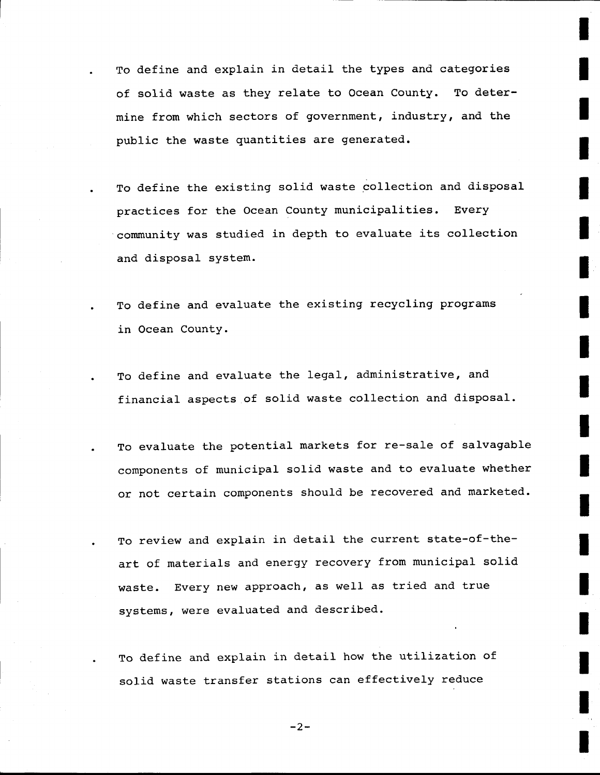To define and explain in detail the types and categories of solid waste as they relate to Ocean County. To determine from which sectors of government, industry, and the public the waste guantities are generated.

I

I

I

I

I

I

I

I

I

I

I

I

I

I

I

I

I

I

I

- To define the existing solid waste collection and disposal practices for the Ocean County municipalities. Every community was studied in depth to evaluate its collection and disposal system.
	- To define and evaluate the existing recycling programs in Ocean County.
- To define and evaluate the lega1, administrative, and financial aspects of solid waste collection and disposal.
- To evaluate the potential markets for re-sale of salvagable components of municipal solid waste and to evaluate whether or not certain components should be recovered and marketed.
	- To review and explain in detail the current state-of-theart of materials and energy recovery from municipal solid waste. Every new approach, as well as tried and true systems, were evaluated and described.
- To define and explain in detail how the utilization of solid waste transfer stations can effectively reduce

 $-2-$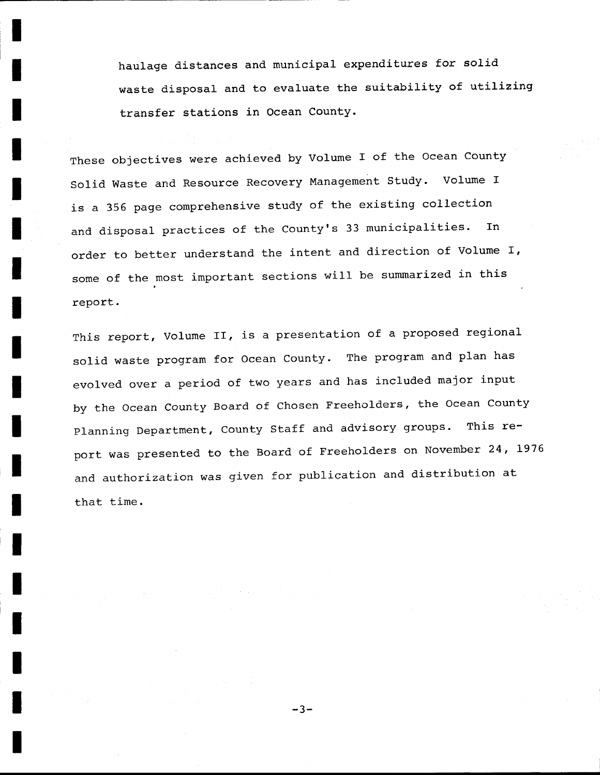haulage distances and municipal expenditures fot solid waste disposal and to evaluate the suitability of utilizing transfer stations in Ocean County.

These objectives were achieved by Volume I of the Ocean County Solid Waste and Resource Recovery Management Study. Volume I is a 356 page comprehensive study of the existing collection and disposal practices of the County's 33 municipalities. In order to better understand the intent and direction of Volume  $I$ , some of the most important sections will be summarized in this <sup>I</sup>report.

I

I

I

I

I

I

I

I

t

This report, Volume II, is a presentation of a proposed regional solid waste program for Ocean County. The program and plan has evolved over a period of two years and has included major input by the Ocean County Board of Chosen Freeholders, the Ocean County Planning Department, County Staff and advisory groups. This report was presented to the Board of Freeholders on November 24, 1976 and authorization was given for publication and distribution at that time.

 $-3-$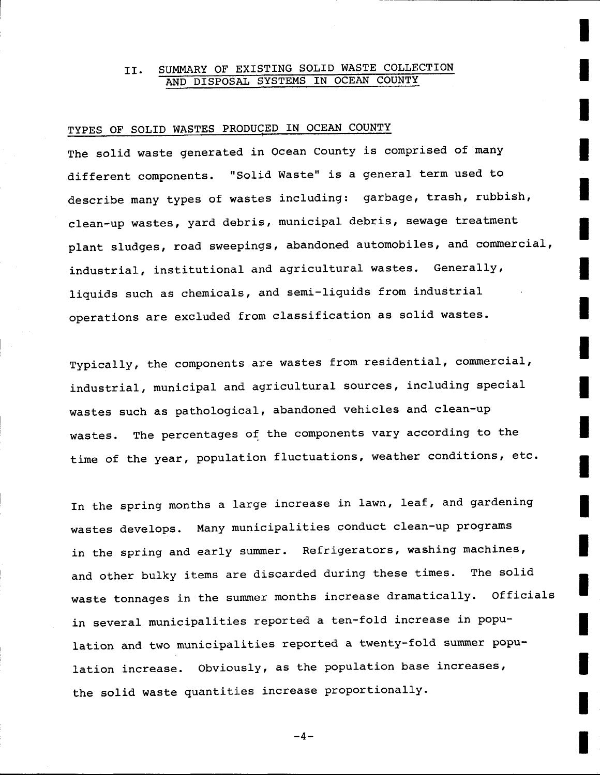#### SUMMARY OF EXISTING SOLID WASTE COLLECTION II. AND DISPOSAL SYSTEMS IN OCEAN COUNTY

# TYPES OF SOLID WASTES PRODUCED IN OCEAN COUNTY

The solid waste generated in Ocean County is comprised of many different components. "Solid Waste" is a general term used to describe many types of wastes including: garbage, trash, rubbish, clean-up wastes, yard debris, municipal debris, sewage treatment plant sludges, road sweepings, abandoned automobiles, and commercial, industrial, institutional and agricultural wastes. Generally, liquids such as chemicals, and semi-liquids from industrial operations are excluded from classification as solid wastes.

Typically, the components are wastes from residential, commercial, industrial, municipal and agricultural sources, including special wastes such as pathological, abandoned vehicles and clean-up The percentages of the components vary according to the wastes. time of the year, population fluctuations, weather conditions, etc.

In the spring months a large increase in lawn, leaf, and gardening wastes develops. Many municipalities conduct clean-up programs in the spring and early summer. Refrigerators, washing machines, and other bulky items are discarded during these times. The solid waste tonnages in the summer months increase dramatically. Officials in several municipalities reported a ten-fold increase in population and two municipalities reported a twenty-fold summer population increase. Obviously, as the population base increases, the solid waste quantities increase proportionally.

 $-4-$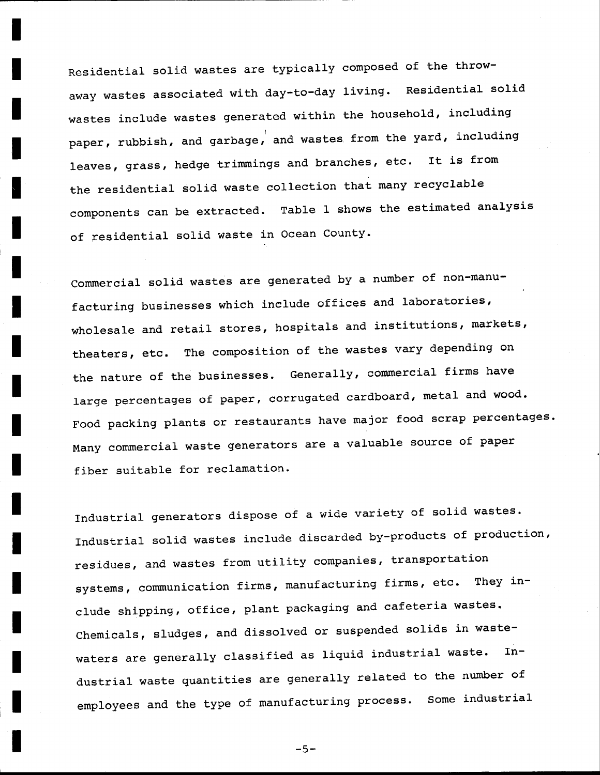Residential solid wastes are typically composed of the throwaway wastes associated with day-to-day living. Residential solid wastes include wastes generated within the household, including paper, rubbish, and garbage, and wastes from the yard, including leaves, grass, hedge trimmings and branches, etc. It is from the residential solid waste collection that many recyclable components can be extracted. Table I shows the estimated analysis of residential solid waste in Ocean County'

I

I

t

I

I

I

I

I

I

t

t

I

I

I

I

I

I

I

I

Commercial solid wastes are generated by a number of non-manufacturing businesses which include offices and laboratories ' wholesale and retail stores, hospitals and institutions, markets, theaters, etc. The composition of the wastes vary depending on the nature of the businesses. Generally, commercial firms have large percentages of paper, corrugated cardboard, metal and wood. Food packing plants or restaurants have major food scrap percentages. Many commercial waste generators are a valuable source of paper fiber suitable for reclamation.

Industrial generators dispose of a wide variety of solid wastes. Industrial solid wastes include discarded by-products of production, residues, and wastes from utility companies, transportation systems, communication firms, manufacturing firms, etc. They include shipping, office, plant packaging and cafeteria wastes. chemicals, sludges, and dissolved or suspended solids in wastewaters are generally classified as liquid industrial waste. Industrial waste quantities are generally related to the number of employees and the type of manufacturing process. Some industrial

-5-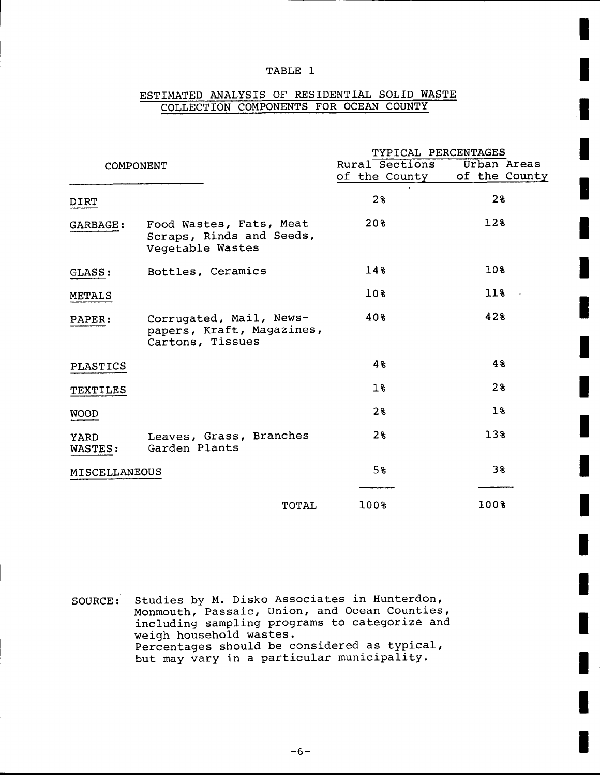## TABLE 1

# ESTIMATED ANALYSIS OF RESIDENTIAL SOLID WASTE COLLECTION COMPONENTS FOR OCEAN COUNTY

|                        |                                                                          | TYPICAL PERCENTAGES |                |  |
|------------------------|--------------------------------------------------------------------------|---------------------|----------------|--|
| COMPONENT              |                                                                          | Rural Sections      | Urban Areas    |  |
|                        |                                                                          | of the County       | of the County  |  |
| <b>DIRT</b>            |                                                                          | 2 <sup>8</sup>      | 28             |  |
| GARBAGE:               | Food Wastes, Fats, Meat<br>Scraps, Rinds and Seeds,<br>Vegetable Wastes  | 20%                 | 12%            |  |
| GLASS:                 | Bottles, Ceramics                                                        | 14%                 | 10%            |  |
| <b>METALS</b>          |                                                                          | 10%                 | 118            |  |
| PAPER:                 | Corrugated, Mail, News-<br>papers, Kraft, Magazines,<br>Cartons, Tissues | 40%                 | 42%            |  |
| <b>PLASTICS</b>        |                                                                          | 4%                  | 4%             |  |
| TEXTILES               |                                                                          | $1\,$               | 28             |  |
| <b>WOOD</b>            |                                                                          | 2 <sup>8</sup>      | $1$ $\epsilon$ |  |
| YARD<br><b>WASTES:</b> | Leaves, Grass, Branches<br>Garden Plants                                 | 2%                  | 13%            |  |
| MISCELLANEOUS          |                                                                          | 5%                  | 38             |  |
|                        | TOTAL                                                                    | 100%                | 100%           |  |

SOURCE: Studies by M. Disko Associates in Hunterdon, Monmouth, Passaic, Union, and Ocean Counties, including sampling programs to categorize and weigh household wastes. Percentages should be considered as typical, but may vary in a particular municipality.

 $-6-$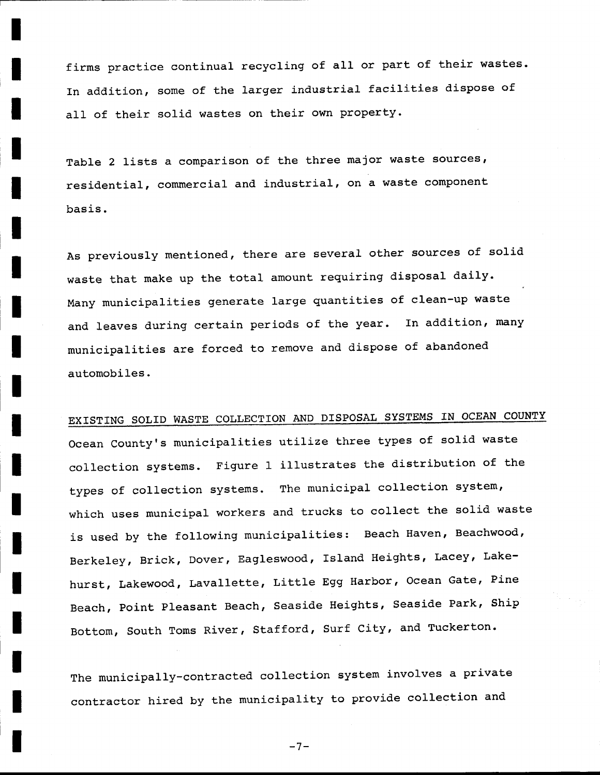firms practice continual recycling of all or part of their wastes. In addition, some of the larger industrial facilities dispose of all of their solid wastes on their own property.

Table 2 lists a comparison of the three major waste sources, residential, commercial and industrial, on a waste component basis.

I

I

I

I

I

I

I

I

I

I

I

I

t

I

I

I

I

I

I

As previously mentioned, there are several other sources of solid waste that make up the total amount requiring disposal daily. Many municipalities generate large quantities of clean-up waste and leaves during certain periods of the year. In addition, many municipalities are forced to remove and dispose of abandoned automobiles.

# EXISTING SOLID WASTE COLLECTION AND DISPOSAL SYSTEMS IN OCEAN COUNTY

Ocean County's municipalities utilize three types of solid waste collection systems. Figure 1 illustrates the distribution of the types of collection systems. The municipal collection system, which uses municipal workers and trucks to collect the solid waste is used by the following municipalities: Beach Haven, Beachwood, Berkeley, Brick, Dover, Eagleswood, Island Heights, Lacey, Lakehurst, Lakewood, Lavallette, Little Egg Harbor, Ocean Gate, Pine Beach, Point Pleasant Beach, seaside Heights, seaside Park, ship Bottom, South Toms River, Stafford, Surf City, and Tuckerton.

The municipally-contracted collection system involves a private contractor hired by the municipality to provide collection and

 $-7-$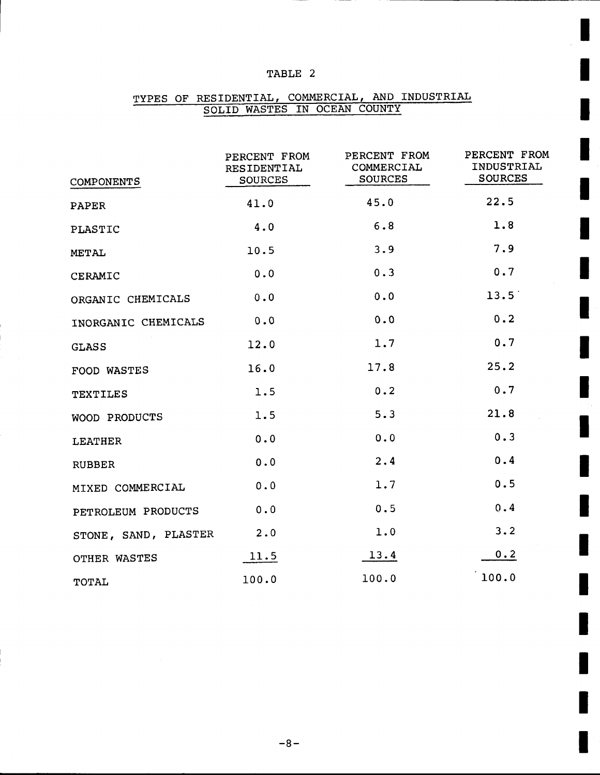## TABLE 2

# TYPES OF RESIDENTIAL, COMMERCIAL, AND INDUSTRIAL SOLID WASTES IN OCEAN COUNTY

I

I

I

I

I

I

I

I

I

I

I

I

I

| <b>COMPONENTS</b>    | PERCENT FROM<br>RESIDENTIAL<br><b>SOURCES</b> | PERCENT FROM<br>COMMERCIAL<br><b>SOURCES</b> | PERCENT FROM<br>INDUSTRIAL<br><b>SOURCES</b> |
|----------------------|-----------------------------------------------|----------------------------------------------|----------------------------------------------|
| PAPER                | 41.0                                          | 45.0                                         | 22.5                                         |
| <b>PLASTIC</b>       | 4.0                                           | 6.8                                          | 1.8                                          |
| METAL                | 10.5                                          | 3.9                                          | 7.9                                          |
| CERAMIC              | 0.0                                           | 0.3                                          | 0.7                                          |
| ORGANIC CHEMICALS    | 0.0                                           | 0.0                                          | $13.5^{\circ}$                               |
| INORGANIC CHEMICALS  | 0.0                                           | 0.0                                          | 0.2                                          |
| <b>GLASS</b>         | 12.0                                          | 1.7                                          | 0.7                                          |
| FOOD WASTES          | 16.0                                          | 17.8                                         | 25.2                                         |
| <b>TEXTILES</b>      | 1.5                                           | 0.2                                          | 0.7                                          |
| WOOD PRODUCTS        | 1.5                                           | 5.3                                          | 21.8                                         |
| <b>LEATHER</b>       | 0.0                                           | 0.0                                          | 0.3                                          |
| <b>RUBBER</b>        | 0.0                                           | 2.4                                          | 0.4                                          |
| MIXED COMMERCIAL     | 0.0                                           | 1.7                                          | 0.5                                          |
| PETROLEUM PRODUCTS   | 0.0                                           | 0.5                                          | 0.4                                          |
| STONE, SAND, PLASTER | 2.0                                           | 1.0                                          | 3.2                                          |
| OTHER WASTES         | 11.5                                          | 13.4                                         | 0.2                                          |
| TOTAL                | 100.0                                         | 100.0                                        | 100.0                                        |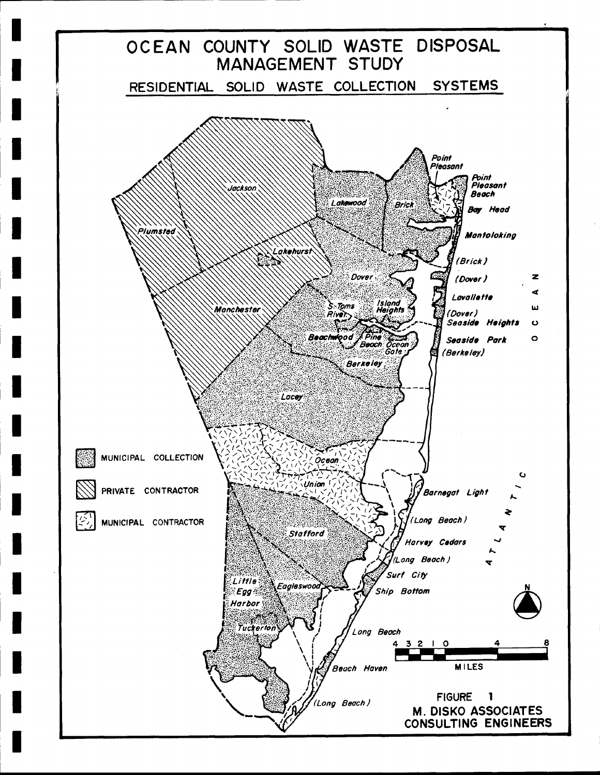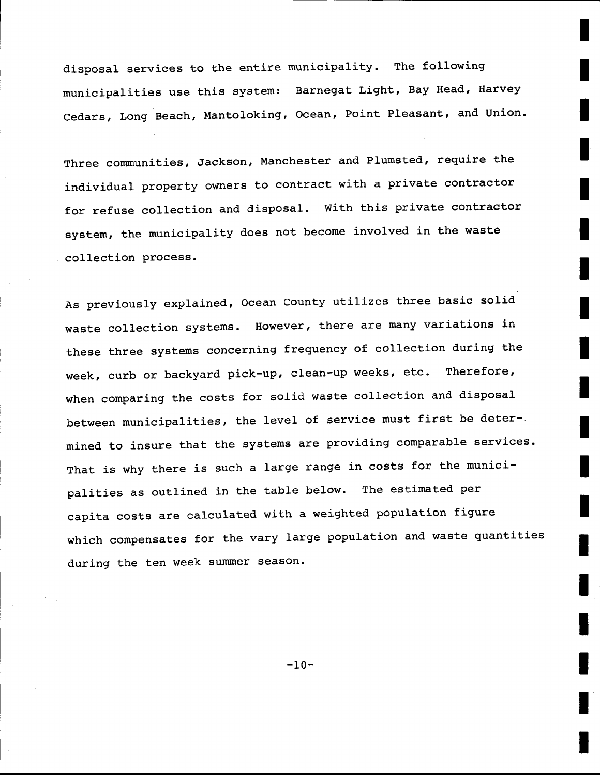disposal services to the entire municipality. The following municipalities use this system: Barnegat Light, Bay Head, Harvey Cedars, Long Beach, Mantoloking, Ocean, Point Pleasant, and' Union' I

I

I

I

I

I

t

I

I

I

I

t

I

I

I

I

I

I

I

Three communities, Jackson, Manchester and Plumsted, require the individual property owners to contract with a private contractor for refuse collection and disposal. With this private contractor system, the municipality does not become involved in the waste collection process.

As previously explained, Ocean County utilizes three basic solid waste collection systems. However, there are many variations in these three systems concerning frequency of collection during the week, curb or backyard pick-up, clean-up weeks, etc. Therefore, when comparing the costs for solid waste collection and disposal between municipalities, the level of service must first be deter-. mined to insure that the systems are providing comparable services. That is why there is such a large range in costs for the municipalities as outlined in the table below. The estimated per capita costs are calculated with a weighted population figure which compensates for the vary large population and waste quantities during the ten week summer season.

 $-10 -$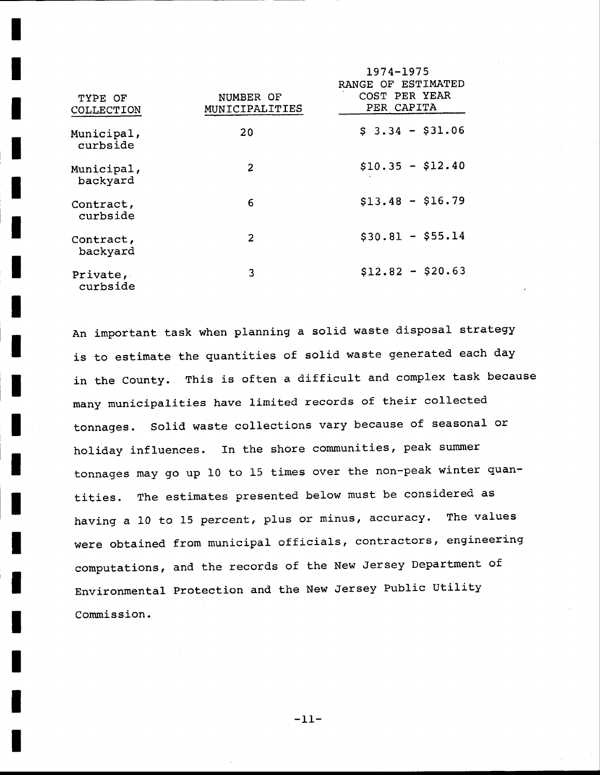| TYPE OF                | NUMBER OF      | 1974-1975<br>RANGE OF ESTIMATED<br>COST PER YEAR |
|------------------------|----------------|--------------------------------------------------|
| COLLECTION             | MUNICIPALITIES | PER CAPITA                                       |
| Municipal,<br>curbside | 20             | $$3.34 - $31.06$                                 |
| Municipal,<br>backyard | $\overline{2}$ | $$10.35 - $12.40$                                |
| Contract,<br>curbside  | 6              | $$13.48 - $16.79$                                |
| Contract,<br>backyard  | 2              | $$30.81 - $55.14$                                |
| Private,<br>curbside   | 3              | $$12.82 - $20.63$                                |

I

I

t

I

I

I

I

I

I

t

I

I

I

I

I

t

I

I

I

An important task when planning a solid waste disposal strategy is to estimate the quantities of solid waste generated each day in the County. This is often a difficult and complex task because many municipalities have limited records of their collected tonnages. Solid WaSte collections vary because of seasonal or holiday influences, In the shore communities, peak summer tonnages may go up 10 to 15 times over the non-peak winter quantities. The estimates presented below must be considered as having a 10 to 15 percent, plus or minus, accuracy. The values were obtained from municipal officials, contractors, engineering computations, and the records of the New Jersey Department of Environmental Protection and the New Jersey Public utility Commission.

 $-11-$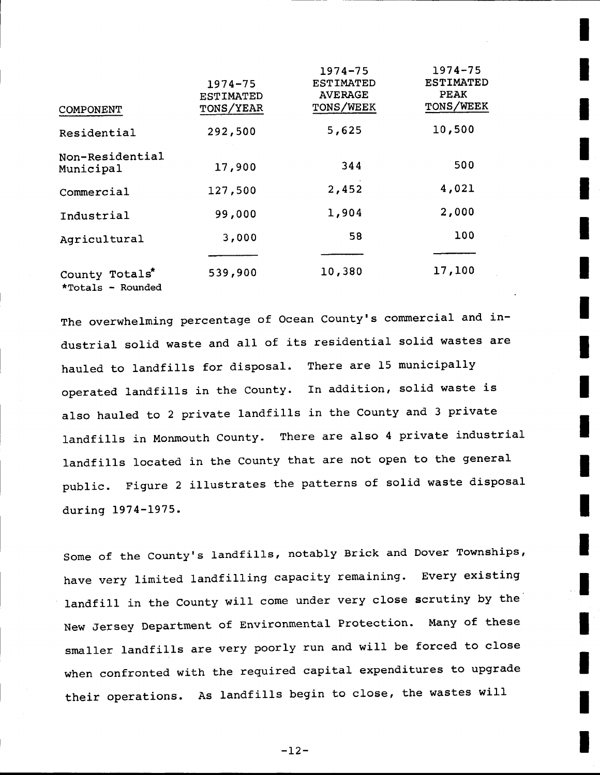| COMPONENT                           | $1974 - 75$<br><b>ESTIMATED</b><br>TONS/YEAR | $1974 - 75$<br><b>ESTIMATED</b><br><b>AVERAGE</b><br>TONS/WEEK | $1974 - 75$<br><b>ESTIMATED</b><br><b>PEAK</b><br>TONS/WEEK |
|-------------------------------------|----------------------------------------------|----------------------------------------------------------------|-------------------------------------------------------------|
| Residential                         | 292,500                                      | 5,625                                                          | 10,500                                                      |
| Non-Residential<br>Municipal        | 17,900                                       | 344                                                            | 500                                                         |
| Commercial                          | 127,500                                      | 2,452                                                          | 4,021                                                       |
| Industrial                          | 99,000                                       | 1,904                                                          | 2,000                                                       |
| Agricultural                        | 3,000                                        | 58                                                             | 100                                                         |
|                                     |                                              |                                                                |                                                             |
| County Totals*<br>*Totals - Rounded | 539,900                                      | 10,380                                                         | 17,100                                                      |

I

I

I

I

I

I

I

t

I

I

I

I

t

I

I

I

I

I

I

The overwhelming percentage of ocean county's commercial and industrial solid waste and all of its residential solid wastes are hauled to landfitls for disposal. There are 15 municipally operated landfills in the county. In addition, solid waste is also hauled to 2 private landfills in the County and 3 private landfills in Monmouth County. There are also 4 private industrial landfills located in the County that are not open to the general public. Figure 2 illustrates the patterns of solid waste disposal during L974-L975.

Some of the County's landfills, notably Brick and Dover Townships, have very limited landfilling capacity remaining. Every existing landfill in the County will come under very close scrutiny by the' New Jersey Department of Environmental Protection. Many of these smaller landfills are very poorly run and will be forced to close when confronted with the required capital expenditures to upgrade their operations. As landfills begin to close, the wastes will

 $-12-$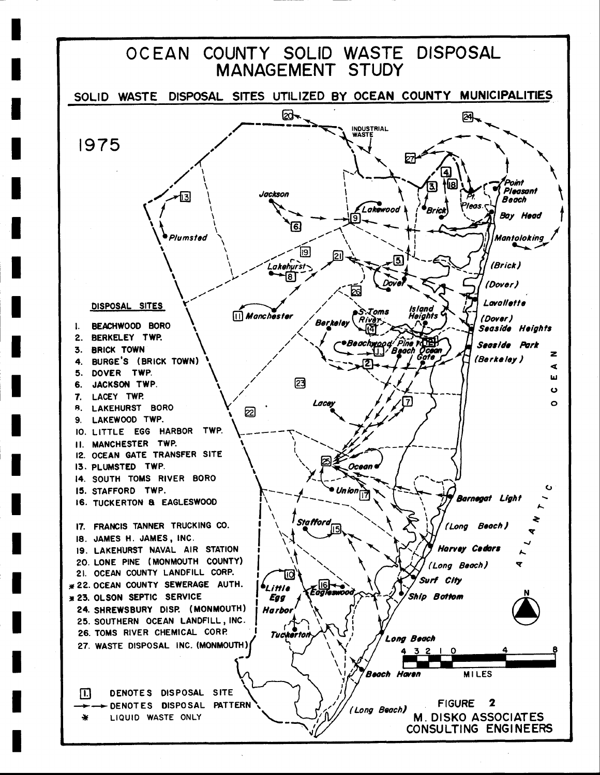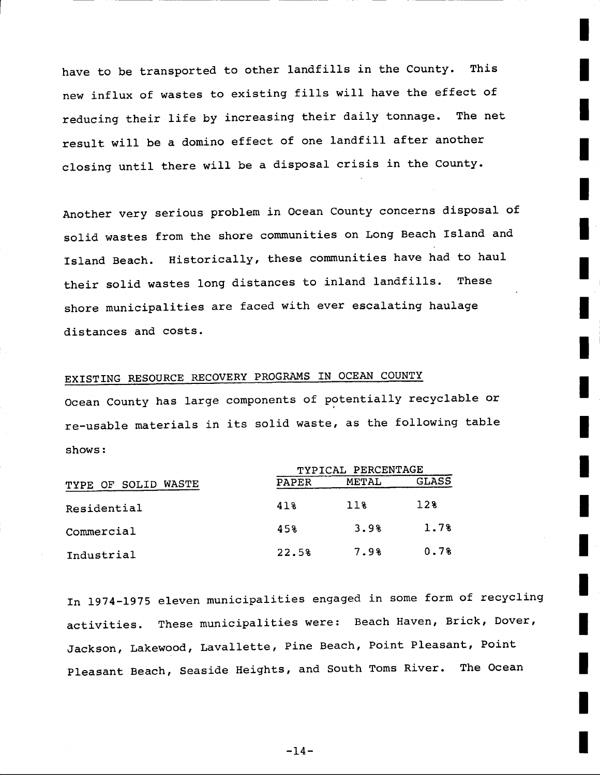have to be transported to other landfills in the County. This new influx of wastes to existing fil1s will have the effect of reducing their life by increasing their daily tonnage. The net result will be a domino effect of one landfill after another closing until there will be a disposal crisis in the County.

t

I

I

t

I

I

I

I

I

I

I

I

I

I

I

I

I

I

I

Another very serious problem in Ocean County concerns disposal of solid wastes from the shore communities on Long Beach Island and Island Beach. Historically, these communities have had to haul their solid wastes long distances to inland landfills. These shore municipalities are faced with ever escalating haulage distances and costs.

# EXISTING RESOURCE RECOVERY PROGRAMS IN OCEAN COUNTY

Ocean County has large components of potentially recyclable or re-usable materials in its solid waste, as the following table shows:

|                     | TYPICAL PERCENTAGE |       |       |
|---------------------|--------------------|-------|-------|
| TYPE OF SOLID WASTE | <b>PAPER</b>       | METAL | GLASS |
| Residential         | 418                | 118   | 12%   |
| Commercial          | 45%                | 3.9%  | 1.78  |
| Industrial          | 22.5%              | 7.9%  | 0.7%  |

In 1974-1975 eleven municipalities engaged in some form of recycling activities. These municipalities were: Beach Haven, Brick, Dover, Jackson, Lakewood, Lavallette, Pine Beach, Point Pleasant, Point pleasant Beach, seaside Heights, and south Toms River. The ocean

-14-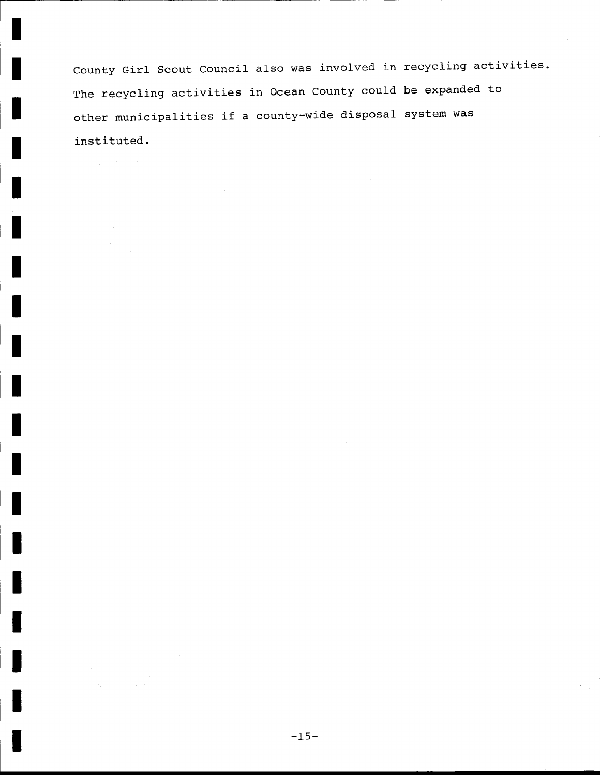County GirI Scout Council also was involved in recycling activities. The recycling activities in Ocean County could be expanded to other municipalities if a county-wide disposal system was instituted.

I

I

I

I

I

I

I

I

I

I

I

I

t

I

I

I

I

I

I